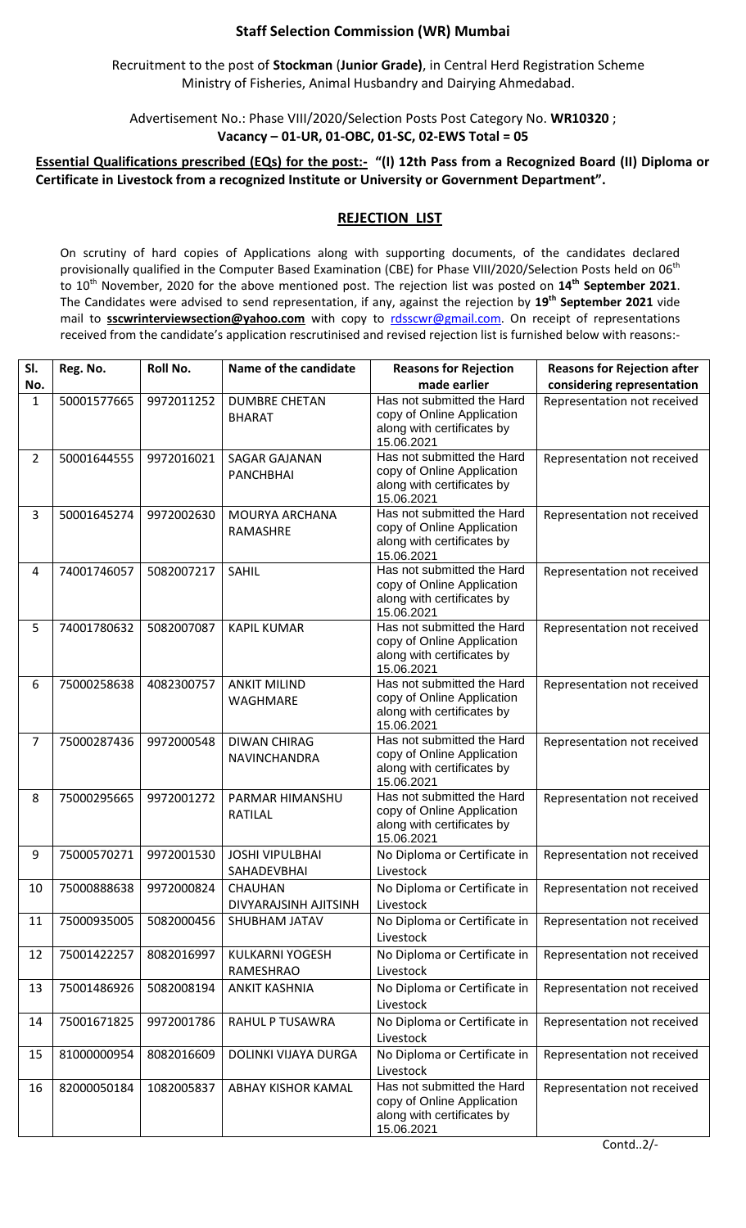## **Staff Selection Commission (WR) Mumbai**

Recruitment to the post of **Stockman** (**Junior Grade)**, in Central Herd Registration Scheme Ministry of Fisheries, Animal Husbandry and Dairying Ahmedabad.

Advertisement No.: Phase VIII/2020/Selection Posts Post Category No. **WR10320** ; **Vacancy – 01-UR, 01-OBC, 01-SC, 02-EWS Total = 05**

## **Essential Qualifications prescribed (EQs) for the post:- "(I) 12th Pass from a Recognized Board (II) Diploma or Certificate in Livestock from a recognized Institute or University or Government Department".**

## **REJECTION LIST**

On scrutiny of hard copies of Applications along with supporting documents, of the candidates declared provisionally qualified in the Computer Based Examination (CBE) for Phase VIII/2020/Selection Posts held on 06<sup>th</sup> to 10th November, 2020 for the above mentioned post. The rejection list was posted on **14th September 2021**. The Candidates were advised to send representation, if any, against the rejection by **19th September 2021** vide mail to **sscwrinterviewsection@yahoo.com** with copy to [rdsscwr@gmail.com.](mailto:rdsscwr@gmail.com) On receipt of representations received from the candidate's application rescrutinised and revised rejection list is furnished below with reasons:-

| SI.            | Reg. No.    | Roll No.   | Name of the candidate                    | <b>Reasons for Rejection</b>                                                                         | <b>Reasons for Rejection after</b> |
|----------------|-------------|------------|------------------------------------------|------------------------------------------------------------------------------------------------------|------------------------------------|
| No.            |             |            |                                          | made earlier<br>Has not submitted the Hard                                                           | considering representation         |
| $\mathbf{1}$   | 50001577665 | 9972011252 | <b>DUMBRE CHETAN</b><br><b>BHARAT</b>    | copy of Online Application<br>along with certificates by<br>15.06.2021                               | Representation not received        |
| $\overline{2}$ | 50001644555 | 9972016021 | <b>SAGAR GAJANAN</b><br><b>PANCHBHAI</b> | Has not submitted the Hard<br>copy of Online Application<br>along with certificates by<br>15.06.2021 | Representation not received        |
| 3              | 50001645274 | 9972002630 | MOURYA ARCHANA<br>RAMASHRE               | Has not submitted the Hard<br>copy of Online Application<br>along with certificates by<br>15.06.2021 | Representation not received        |
| 4              | 74001746057 | 5082007217 | SAHIL                                    | Has not submitted the Hard<br>copy of Online Application<br>along with certificates by<br>15.06.2021 | Representation not received        |
| 5              | 74001780632 | 5082007087 | <b>KAPIL KUMAR</b>                       | Has not submitted the Hard<br>copy of Online Application<br>along with certificates by<br>15.06.2021 | Representation not received        |
| 6              | 75000258638 | 4082300757 | <b>ANKIT MILIND</b><br>WAGHMARE          | Has not submitted the Hard<br>copy of Online Application<br>along with certificates by<br>15.06.2021 | Representation not received        |
| $\overline{7}$ | 75000287436 | 9972000548 | <b>DIWAN CHIRAG</b><br>NAVINCHANDRA      | Has not submitted the Hard<br>copy of Online Application<br>along with certificates by<br>15.06.2021 | Representation not received        |
| 8              | 75000295665 | 9972001272 | PARMAR HIMANSHU<br><b>RATILAL</b>        | Has not submitted the Hard<br>copy of Online Application<br>along with certificates by<br>15.06.2021 | Representation not received        |
| 9              | 75000570271 | 9972001530 | <b>JOSHI VIPULBHAI</b><br>SAHADEVBHAI    | No Diploma or Certificate in<br>Livestock                                                            | Representation not received        |
| 10             | 75000888638 | 9972000824 | <b>CHAUHAN</b><br>DIVYARAJSINH AJITSINH  | No Diploma or Certificate in<br>Livestock                                                            | Representation not received        |
| 11             | 75000935005 | 5082000456 | SHUBHAM JATAV                            | No Diploma or Certificate in<br>Livestock                                                            | Representation not received        |
| 12             | 75001422257 | 8082016997 | <b>KULKARNI YOGESH</b><br>RAMESHRAO      | No Diploma or Certificate in<br>Livestock                                                            | Representation not received        |
| 13             | 75001486926 | 5082008194 | <b>ANKIT KASHNIA</b>                     | No Diploma or Certificate in<br>Livestock                                                            | Representation not received        |
| 14             | 75001671825 | 9972001786 | RAHUL P TUSAWRA                          | No Diploma or Certificate in<br>Livestock                                                            | Representation not received        |
| 15             | 81000000954 | 8082016609 | DOLINKI VIJAYA DURGA                     | No Diploma or Certificate in<br>Livestock                                                            | Representation not received        |
| 16             | 82000050184 | 1082005837 | ABHAY KISHOR KAMAL                       | Has not submitted the Hard<br>copy of Online Application<br>along with certificates by<br>15.06.2021 | Representation not received        |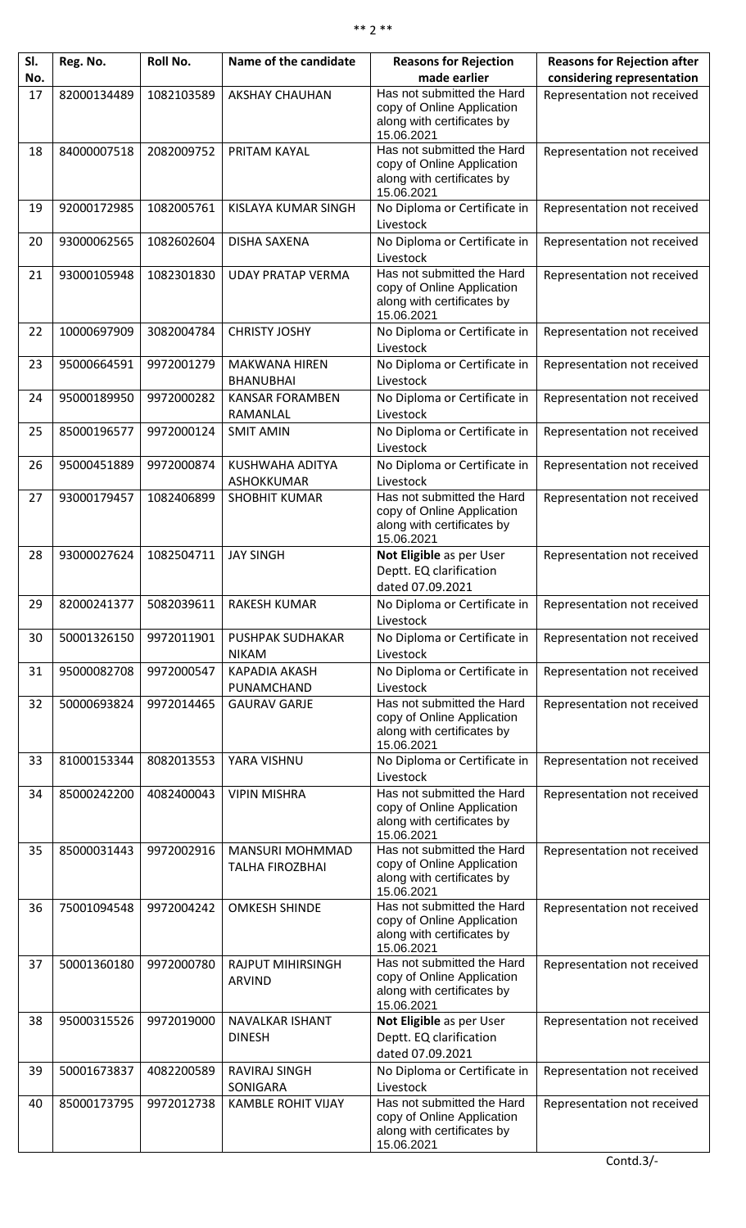| SI. | Reg. No.    | Roll No.   | Name of the candidate                            | <b>Reasons for Rejection</b>                                                                         | <b>Reasons for Rejection after</b> |
|-----|-------------|------------|--------------------------------------------------|------------------------------------------------------------------------------------------------------|------------------------------------|
| No. |             |            |                                                  | made earlier                                                                                         | considering representation         |
| 17  | 82000134489 | 1082103589 | <b>AKSHAY CHAUHAN</b>                            | Has not submitted the Hard<br>copy of Online Application<br>along with certificates by<br>15.06.2021 | Representation not received        |
| 18  | 84000007518 | 2082009752 | PRITAM KAYAL                                     | Has not submitted the Hard<br>copy of Online Application<br>along with certificates by<br>15.06.2021 | Representation not received        |
| 19  | 92000172985 | 1082005761 | KISLAYA KUMAR SINGH                              | No Diploma or Certificate in<br>Livestock                                                            | Representation not received        |
| 20  | 93000062565 | 1082602604 | <b>DISHA SAXENA</b>                              | No Diploma or Certificate in<br>Livestock                                                            | Representation not received        |
| 21  | 93000105948 | 1082301830 | <b>UDAY PRATAP VERMA</b>                         | Has not submitted the Hard<br>copy of Online Application<br>along with certificates by<br>15.06.2021 | Representation not received        |
| 22  | 10000697909 | 3082004784 | <b>CHRISTY JOSHY</b>                             | No Diploma or Certificate in<br>Livestock                                                            | Representation not received        |
| 23  | 95000664591 | 9972001279 | <b>MAKWANA HIREN</b><br><b>BHANUBHAI</b>         | No Diploma or Certificate in<br>Livestock                                                            | Representation not received        |
| 24  | 95000189950 | 9972000282 | <b>KANSAR FORAMBEN</b><br>RAMANLAL               | No Diploma or Certificate in<br>Livestock                                                            | Representation not received        |
| 25  | 85000196577 | 9972000124 | <b>SMIT AMIN</b>                                 | No Diploma or Certificate in<br>Livestock                                                            | Representation not received        |
| 26  | 95000451889 | 9972000874 | KUSHWAHA ADITYA<br>ASHOKKUMAR                    | No Diploma or Certificate in<br>Livestock                                                            | Representation not received        |
| 27  | 93000179457 | 1082406899 | <b>SHOBHIT KUMAR</b>                             | Has not submitted the Hard<br>copy of Online Application<br>along with certificates by<br>15.06.2021 | Representation not received        |
| 28  | 93000027624 | 1082504711 | <b>JAY SINGH</b>                                 | Not Eligible as per User<br>Deptt. EQ clarification<br>dated 07.09.2021                              | Representation not received        |
| 29  | 82000241377 | 5082039611 | <b>RAKESH KUMAR</b>                              | No Diploma or Certificate in<br>Livestock                                                            | Representation not received        |
| 30  | 50001326150 | 9972011901 | PUSHPAK SUDHAKAR<br><b>NIKAM</b>                 | No Diploma or Certificate in<br>Livestock                                                            | Representation not received        |
| 31  | 95000082708 | 9972000547 | <b>KAPADIA AKASH</b><br>PUNAMCHAND               | No Diploma or Certificate in<br>Livestock                                                            | Representation not received        |
| 32  | 50000693824 | 9972014465 | <b>GAURAV GARJE</b>                              | Has not submitted the Hard<br>copy of Online Application<br>along with certificates by<br>15.06.2021 | Representation not received        |
| 33  | 81000153344 | 8082013553 | YARA VISHNU                                      | No Diploma or Certificate in<br>Livestock                                                            | Representation not received        |
| 34  | 85000242200 | 4082400043 | <b>VIPIN MISHRA</b>                              | Has not submitted the Hard<br>copy of Online Application<br>along with certificates by<br>15.06.2021 | Representation not received        |
| 35  | 85000031443 | 9972002916 | <b>MANSURI MOHMMAD</b><br><b>TALHA FIROZBHAI</b> | Has not submitted the Hard<br>copy of Online Application<br>along with certificates by<br>15.06.2021 | Representation not received        |
| 36  | 75001094548 | 9972004242 | <b>OMKESH SHINDE</b>                             | Has not submitted the Hard<br>copy of Online Application<br>along with certificates by<br>15.06.2021 | Representation not received        |
| 37  | 50001360180 | 9972000780 | <b>RAJPUT MIHIRSINGH</b><br><b>ARVIND</b>        | Has not submitted the Hard<br>copy of Online Application<br>along with certificates by<br>15.06.2021 | Representation not received        |
| 38  | 95000315526 | 9972019000 | NAVALKAR ISHANT<br><b>DINESH</b>                 | Not Eligible as per User<br>Deptt. EQ clarification<br>dated 07.09.2021                              | Representation not received        |
| 39  | 50001673837 | 4082200589 | RAVIRAJ SINGH<br>SONIGARA                        | No Diploma or Certificate in<br>Livestock                                                            | Representation not received        |
| 40  | 85000173795 | 9972012738 | <b>KAMBLE ROHIT VIJAY</b>                        | Has not submitted the Hard<br>copy of Online Application<br>along with certificates by<br>15.06.2021 | Representation not received        |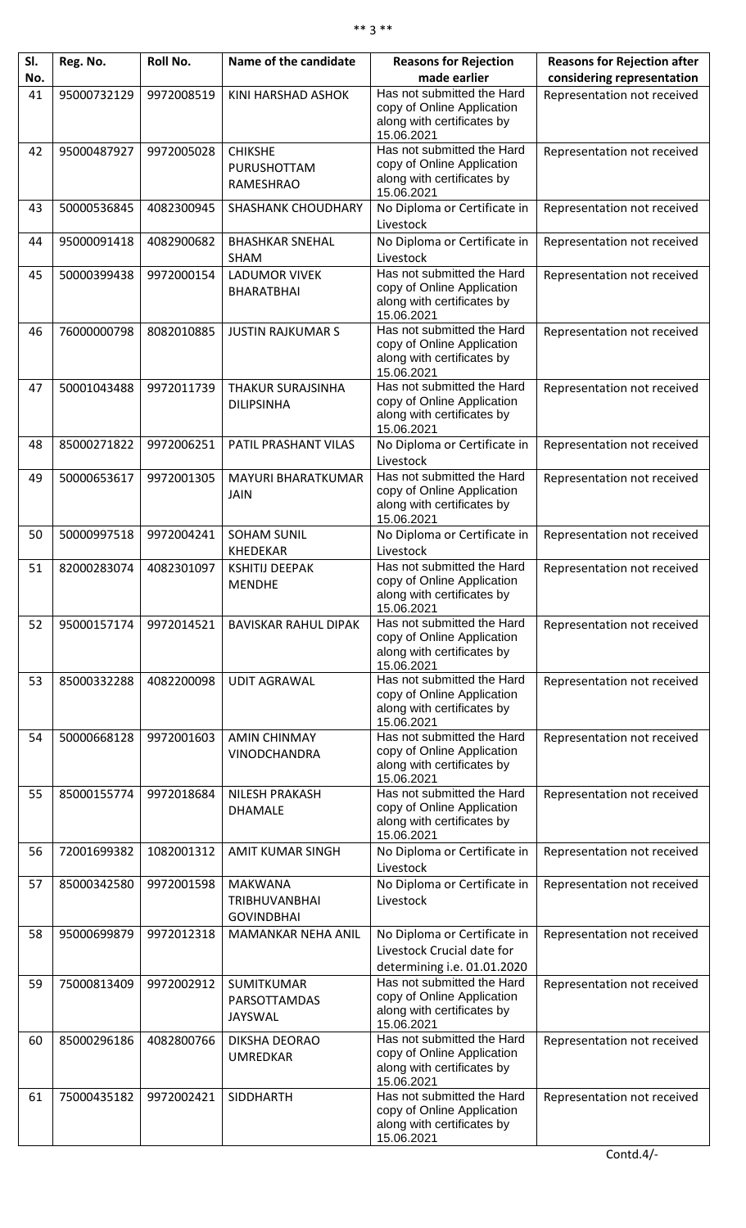| SI. | Reg. No.    | Roll No.   | Name of the candidate                                       | <b>Reasons for Rejection</b>                                                                         | <b>Reasons for Rejection after</b> |
|-----|-------------|------------|-------------------------------------------------------------|------------------------------------------------------------------------------------------------------|------------------------------------|
| No. |             |            |                                                             | made earlier                                                                                         | considering representation         |
| 41  | 95000732129 | 9972008519 | KINI HARSHAD ASHOK                                          | Has not submitted the Hard<br>copy of Online Application<br>along with certificates by<br>15.06.2021 | Representation not received        |
| 42  | 95000487927 | 9972005028 | <b>CHIKSHE</b><br>PURUSHOTTAM<br><b>RAMESHRAO</b>           | Has not submitted the Hard<br>copy of Online Application<br>along with certificates by<br>15.06.2021 | Representation not received        |
| 43  | 50000536845 | 4082300945 | <b>SHASHANK CHOUDHARY</b>                                   | No Diploma or Certificate in<br>Livestock                                                            | Representation not received        |
| 44  | 95000091418 | 4082900682 | <b>BHASHKAR SNEHAL</b><br><b>SHAM</b>                       | No Diploma or Certificate in<br>Livestock                                                            | Representation not received        |
| 45  | 50000399438 | 9972000154 | <b>LADUMOR VIVEK</b><br><b>BHARATBHAI</b>                   | Has not submitted the Hard<br>copy of Online Application<br>along with certificates by<br>15.06.2021 | Representation not received        |
| 46  | 76000000798 | 8082010885 | <b>JUSTIN RAJKUMAR S</b>                                    | Has not submitted the Hard<br>copy of Online Application<br>along with certificates by<br>15.06.2021 | Representation not received        |
| 47  | 50001043488 | 9972011739 | <b>THAKUR SURAJSINHA</b><br><b>DILIPSINHA</b>               | Has not submitted the Hard<br>copy of Online Application<br>along with certificates by<br>15.06.2021 | Representation not received        |
| 48  | 85000271822 | 9972006251 | PATIL PRASHANT VILAS                                        | No Diploma or Certificate in<br>Livestock                                                            | Representation not received        |
| 49  | 50000653617 | 9972001305 | MAYURI BHARATKUMAR<br><b>JAIN</b>                           | Has not submitted the Hard<br>copy of Online Application<br>along with certificates by<br>15.06.2021 | Representation not received        |
| 50  | 50000997518 | 9972004241 | <b>SOHAM SUNIL</b><br><b>KHEDEKAR</b>                       | No Diploma or Certificate in<br>Livestock                                                            | Representation not received        |
| 51  | 82000283074 | 4082301097 | <b>KSHITIJ DEEPAK</b><br><b>MENDHE</b>                      | Has not submitted the Hard<br>copy of Online Application<br>along with certificates by<br>15.06.2021 | Representation not received        |
| 52  | 95000157174 | 9972014521 | <b>BAVISKAR RAHUL DIPAK</b>                                 | Has not submitted the Hard<br>copy of Online Application<br>along with certificates by<br>15.06.2021 | Representation not received        |
| 53  | 85000332288 | 4082200098 | <b>UDIT AGRAWAL</b>                                         | Has not submitted the Hard<br>copy of Online Application<br>along with certificates by<br>15.06.2021 | Representation not received        |
| 54  | 50000668128 | 9972001603 | <b>AMIN CHINMAY</b><br><b>VINODCHANDRA</b>                  | Has not submitted the Hard<br>copy of Online Application<br>along with certificates by<br>15.06.2021 | Representation not received        |
| 55  | 85000155774 | 9972018684 | <b>NILESH PRAKASH</b><br><b>DHAMALE</b>                     | Has not submitted the Hard<br>copy of Online Application<br>along with certificates by<br>15.06.2021 | Representation not received        |
| 56  | 72001699382 | 1082001312 | <b>AMIT KUMAR SINGH</b>                                     | No Diploma or Certificate in<br>Livestock                                                            | Representation not received        |
| 57  | 85000342580 | 9972001598 | <b>MAKWANA</b><br><b>TRIBHUVANBHAI</b><br><b>GOVINDBHAI</b> | No Diploma or Certificate in<br>Livestock                                                            | Representation not received        |
| 58  | 95000699879 | 9972012318 | MAMANKAR NEHA ANIL                                          | No Diploma or Certificate in<br>Livestock Crucial date for<br>determining i.e. 01.01.2020            | Representation not received        |
| 59  | 75000813409 | 9972002912 | SUMITKUMAR<br>PARSOTTAMDAS<br><b>JAYSWAL</b>                | Has not submitted the Hard<br>copy of Online Application<br>along with certificates by<br>15.06.2021 | Representation not received        |
| 60  | 85000296186 | 4082800766 | DIKSHA DEORAO<br><b>UMREDKAR</b>                            | Has not submitted the Hard<br>copy of Online Application<br>along with certificates by<br>15.06.2021 | Representation not received        |
| 61  | 75000435182 | 9972002421 | <b>SIDDHARTH</b>                                            | Has not submitted the Hard<br>copy of Online Application<br>along with certificates by<br>15.06.2021 | Representation not received        |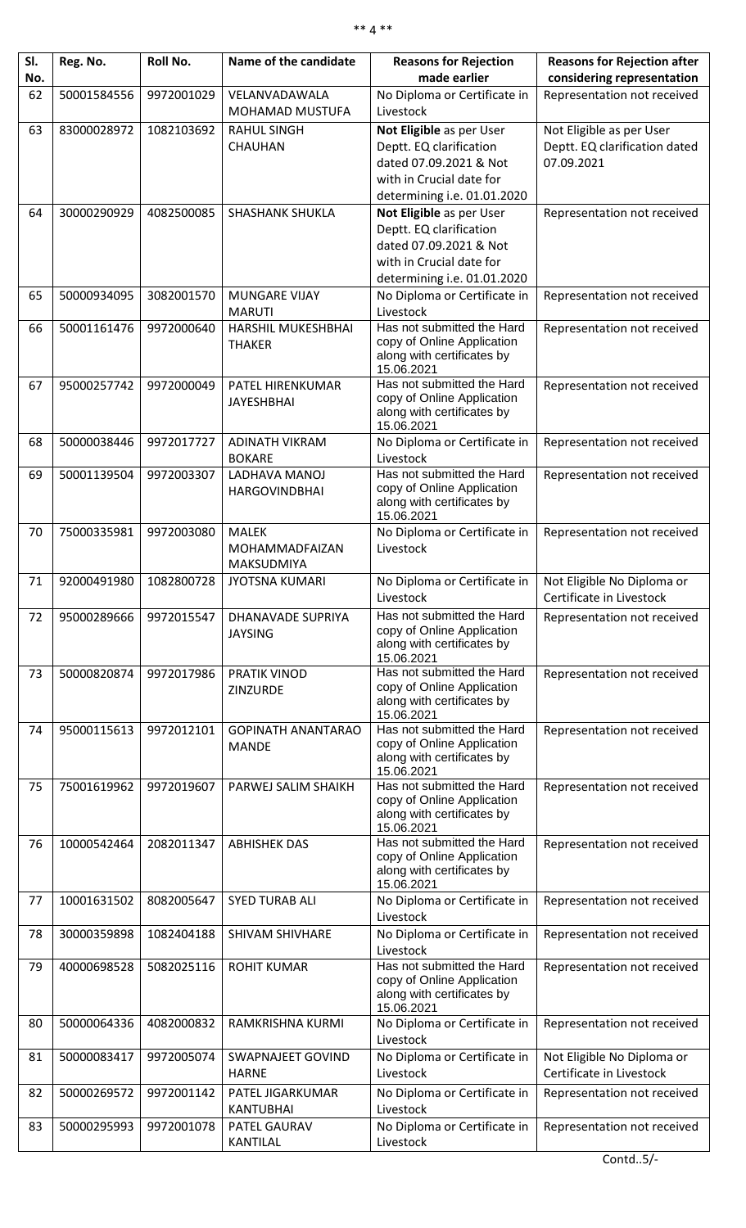| SI.<br>No. | Reg. No.    | Roll No.   | Name of the candidate            | <b>Reasons for Rejection</b><br>made earlier             | <b>Reasons for Rejection after</b><br>considering representation |
|------------|-------------|------------|----------------------------------|----------------------------------------------------------|------------------------------------------------------------------|
|            |             |            |                                  |                                                          |                                                                  |
| 62         | 50001584556 | 9972001029 | VELANVADAWALA<br>MOHAMAD MUSTUFA | No Diploma or Certificate in<br>Livestock                | Representation not received                                      |
| 63         | 83000028972 | 1082103692 | <b>RAHUL SINGH</b>               | Not Eligible as per User                                 | Not Eligible as per User                                         |
|            |             |            | <b>CHAUHAN</b>                   | Deptt. EQ clarification                                  | Deptt. EQ clarification dated                                    |
|            |             |            |                                  | dated 07.09.2021 & Not                                   | 07.09.2021                                                       |
|            |             |            |                                  | with in Crucial date for                                 |                                                                  |
|            |             |            |                                  | determining i.e. 01.01.2020                              |                                                                  |
| 64         | 30000290929 | 4082500085 | <b>SHASHANK SHUKLA</b>           | Not Eligible as per User                                 | Representation not received                                      |
|            |             |            |                                  | Deptt. EQ clarification                                  |                                                                  |
|            |             |            |                                  | dated 07.09.2021 & Not                                   |                                                                  |
|            |             |            |                                  | with in Crucial date for                                 |                                                                  |
|            |             |            |                                  | determining i.e. 01.01.2020                              |                                                                  |
| 65         | 50000934095 | 3082001570 | <b>MUNGARE VIJAY</b>             | No Diploma or Certificate in                             | Representation not received                                      |
|            |             |            | <b>MARUTI</b>                    | Livestock                                                |                                                                  |
| 66         | 50001161476 | 9972000640 | HARSHIL MUKESHBHAI               | Has not submitted the Hard                               | Representation not received                                      |
|            |             |            | <b>THAKER</b>                    | copy of Online Application                               |                                                                  |
|            |             |            |                                  | along with certificates by                               |                                                                  |
| 67         | 95000257742 | 9972000049 | PATEL HIRENKUMAR                 | 15.06.2021<br>Has not submitted the Hard                 |                                                                  |
|            |             |            | <b>JAYESHBHAI</b>                | copy of Online Application                               | Representation not received                                      |
|            |             |            |                                  | along with certificates by                               |                                                                  |
|            |             |            |                                  | 15.06.2021                                               |                                                                  |
| 68         | 50000038446 | 9972017727 | <b>ADINATH VIKRAM</b>            | No Diploma or Certificate in                             | Representation not received                                      |
|            |             |            | <b>BOKARE</b>                    | Livestock                                                |                                                                  |
| 69         | 50001139504 | 9972003307 | LADHAVA MANOJ                    | Has not submitted the Hard                               | Representation not received                                      |
|            |             |            | <b>HARGOVINDBHAI</b>             | copy of Online Application<br>along with certificates by |                                                                  |
|            |             |            |                                  | 15.06.2021                                               |                                                                  |
| 70         | 75000335981 | 9972003080 | <b>MALEK</b>                     | No Diploma or Certificate in                             | Representation not received                                      |
|            |             |            | MOHAMMADFAIZAN                   | Livestock                                                |                                                                  |
|            |             |            | MAKSUDMIYA                       |                                                          |                                                                  |
| 71         | 92000491980 | 1082800728 | <b>JYOTSNA KUMARI</b>            | No Diploma or Certificate in                             | Not Eligible No Diploma or                                       |
|            |             |            |                                  | Livestock                                                | Certificate in Livestock                                         |
| 72         | 95000289666 | 9972015547 | DHANAVADE SUPRIYA                | Has not submitted the Hard                               | Representation not received                                      |
|            |             |            | <b>JAYSING</b>                   | copy of Online Application                               |                                                                  |
|            |             |            |                                  | along with certificates by                               |                                                                  |
| 73         | 50000820874 | 9972017986 | PRATIK VINOD                     | 15.06.2021<br>Has not submitted the Hard                 | Representation not received                                      |
|            |             |            | ZINZURDE                         | copy of Online Application                               |                                                                  |
|            |             |            |                                  | along with certificates by                               |                                                                  |
|            |             |            |                                  | 15.06.2021                                               |                                                                  |
| 74         | 95000115613 | 9972012101 | <b>GOPINATH ANANTARAO</b>        | Has not submitted the Hard                               | Representation not received                                      |
|            |             |            | <b>MANDE</b>                     | copy of Online Application<br>along with certificates by |                                                                  |
|            |             |            |                                  | 15.06.2021                                               |                                                                  |
| 75         | 75001619962 | 9972019607 | PARWEJ SALIM SHAIKH              | Has not submitted the Hard                               | Representation not received                                      |
|            |             |            |                                  | copy of Online Application                               |                                                                  |
|            |             |            |                                  | along with certificates by<br>15.06.2021                 |                                                                  |
| 76         | 10000542464 | 2082011347 | <b>ABHISHEK DAS</b>              | Has not submitted the Hard                               | Representation not received                                      |
|            |             |            |                                  | copy of Online Application                               |                                                                  |
|            |             |            |                                  | along with certificates by                               |                                                                  |
|            |             |            |                                  | 15.06.2021                                               |                                                                  |
| 77         | 10001631502 | 8082005647 | <b>SYED TURAB ALI</b>            | No Diploma or Certificate in                             | Representation not received                                      |
|            |             |            |                                  | Livestock                                                |                                                                  |
| 78         | 30000359898 | 1082404188 | <b>SHIVAM SHIVHARE</b>           | No Diploma or Certificate in<br>Livestock                | Representation not received                                      |
| 79         | 40000698528 | 5082025116 | <b>ROHIT KUMAR</b>               | Has not submitted the Hard                               |                                                                  |
|            |             |            |                                  | copy of Online Application                               | Representation not received                                      |
|            |             |            |                                  | along with certificates by                               |                                                                  |
|            |             |            |                                  | 15.06.2021                                               |                                                                  |
| 80         | 50000064336 | 4082000832 | RAMKRISHNA KURMI                 | No Diploma or Certificate in                             | Representation not received                                      |
|            |             |            |                                  | Livestock                                                |                                                                  |
| 81         | 50000083417 | 9972005074 | <b>SWAPNAJEET GOVIND</b>         | No Diploma or Certificate in                             | Not Eligible No Diploma or                                       |
|            |             |            | <b>HARNE</b>                     | Livestock                                                | Certificate in Livestock                                         |
| 82         | 50000269572 | 9972001142 | PATEL JIGARKUMAR                 | No Diploma or Certificate in                             | Representation not received                                      |
|            |             |            | <b>KANTUBHAI</b>                 | Livestock                                                |                                                                  |
| 83         | 50000295993 | 9972001078 | PATEL GAURAV                     | No Diploma or Certificate in                             | Representation not received                                      |
|            |             |            | <b>KANTILAL</b>                  | Livestock                                                |                                                                  |